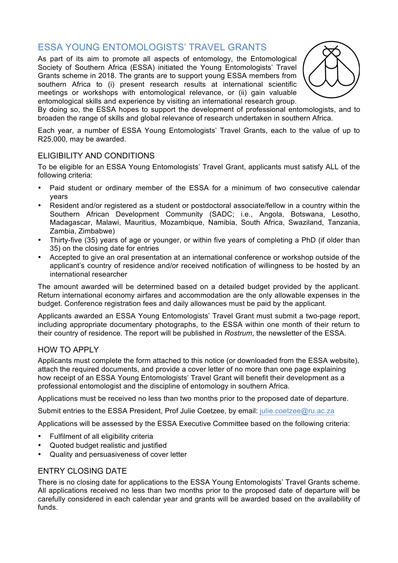## ESSA YOUNG ENTOMOLOGISTS' TRAVEL GRANTS

As part of its aim to promote all aspects of entomology, the Entomological Society of Southern Africa (ESSA) initiated the Young Entomologists' Travel Grants scheme in 2018. The grants are to support young ESSA members from southern Africa to (i) present research results at international scientific meetings or workshops with entomological relevance, or (ii) gain valuable entomological skills and experience by visiting an international research group.



By doing so, the ESSA hopes to support the development of professional entomologists, and to broaden the range of skills and global relevance of research undertaken in southern Africa.

Each year, a number of ESSA Young Entomologists' Travel Grants, each to the value of up to R25,000, may be awarded.

### ELIGIBILITY AND CONDITIONS

To be eligible for an ESSA Young Entomologists' Travel Grant, applicants must satisfy ALL of the following criteria:

- Paid student or ordinary member of the ESSA for a minimum of two consecutive calendar years
- Resident and/or registered as a student or postdoctoral associate/fellow in a country within the Southern African Development Community (SADC; i.e., Angola, Botswana, Lesotho, Madagascar, Malawi, Mauritius, Mozambique, Namibia, South Africa, Swaziland, Tanzania, Zambia, Zimbabwe)
- Thirty-five (35) years of age or younger, or within five years of completing a PhD (if older than 35) on the closing date for entries
- Accepted to give an oral presentation at an international conference or workshop outside of the applicant's country of residence and/or received notification of willingness to be hosted by an international researcher

The amount awarded will be determined based on a detailed budget provided by the applicant. Return international economy airfares and accommodation are the only allowable expenses in the budget. Conference registration fees and daily allowances must be paid by the applicant.

Applicants awarded an ESSA Young Entomologists' Travel Grant must submit a two-page report, including appropriate documentary photographs, to the ESSA within one month of their return to their country of residence. The report will be published in *Rostrum*, the newsletter of the ESSA.

## HOW TO APPLY

Applicants must complete the form attached to this notice (or downloaded from the ESSA website), attach the required documents, and provide a cover letter of no more than one page explaining how receipt of an ESSA Young Entomologists' Travel Grant will benefit their development as a professional entomologist and the discipline of entomology in southern Africa.

Applications must be received no less than two months prior to the proposed date of departure.

Submit entries to the ESSA President, Prof Julie Coetzee, by email: julie.coetzee@ru.ac.za

Applications will be assessed by the ESSA Executive Committee based on the following criteria:

- Fulfilment of all eligibility criteria
- Quoted budget realistic and justified
- Quality and persuasiveness of cover letter

#### ENTRY CLOSING DATE

There is no closing date for applications to the ESSA Young Entomologists' Travel Grants scheme. All applications received no less than two months prior to the proposed date of departure will be carefully considered in each calendar year and grants will be awarded based on the availability of funds.